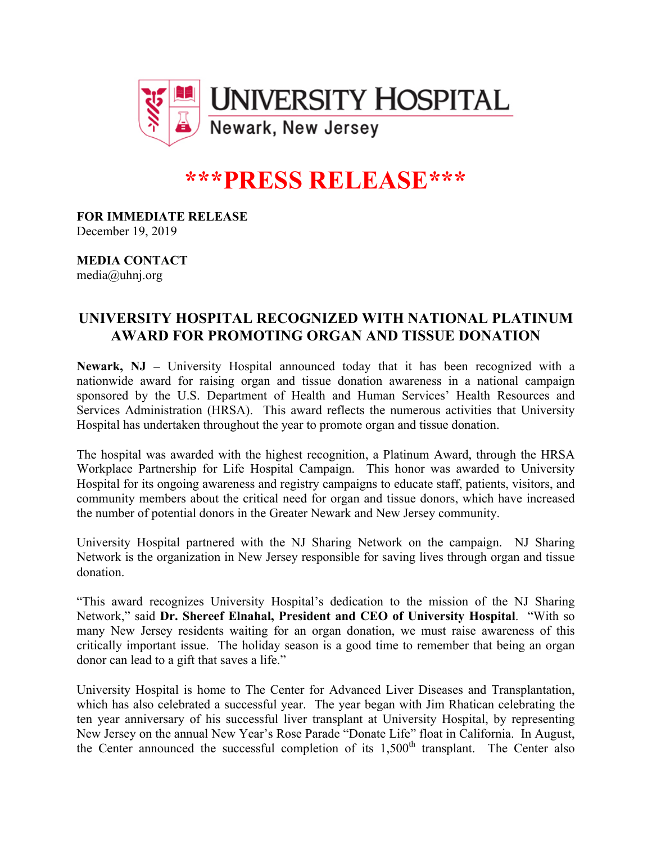

## **\*\*\*PRESS RELEASE\*\*\***

**FOR IMMEDIATE RELEASE** December 19, 2019

**MEDIA CONTACT** media@uhnj.org

## **UNIVERSITY HOSPITAL RECOGNIZED WITH NATIONAL PLATINUM AWARD FOR PROMOTING ORGAN AND TISSUE DONATION**

**Newark, NJ –** University Hospital announced today that it has been recognized with a nationwide award for raising organ and tissue donation awareness in a national campaign sponsored by the U.S. Department of Health and Human Services' Health Resources and Services Administration (HRSA). This award reflects the numerous activities that University Hospital has undertaken throughout the year to promote organ and tissue donation.

The hospital was awarded with the highest recognition, a Platinum Award, through the HRSA Workplace Partnership for Life Hospital Campaign. This honor was awarded to University Hospital for its ongoing awareness and registry campaigns to educate staff, patients, visitors, and community members about the critical need for organ and tissue donors, which have increased the number of potential donors in the Greater Newark and New Jersey community.

University Hospital partnered with the NJ Sharing Network on the campaign. NJ Sharing Network is the organization in New Jersey responsible for saving lives through organ and tissue donation.

"This award recognizes University Hospital's dedication to the mission of the NJ Sharing Network," said **Dr. Shereef Elnahal, President and CEO of University Hospital**. "With so many New Jersey residents waiting for an organ donation, we must raise awareness of this critically important issue. The holiday season is a good time to remember that being an organ donor can lead to a gift that saves a life."

University Hospital is home to The Center for Advanced Liver Diseases and Transplantation, which has also celebrated a successful year. The year began with Jim Rhatican celebrating the ten year anniversary of his successful liver transplant at University Hospital, by representing New Jersey on the annual New Year's Rose Parade "Donate Life" float in California. In August, the Center announced the successful completion of its  $1,500<sup>th</sup>$  transplant. The Center also